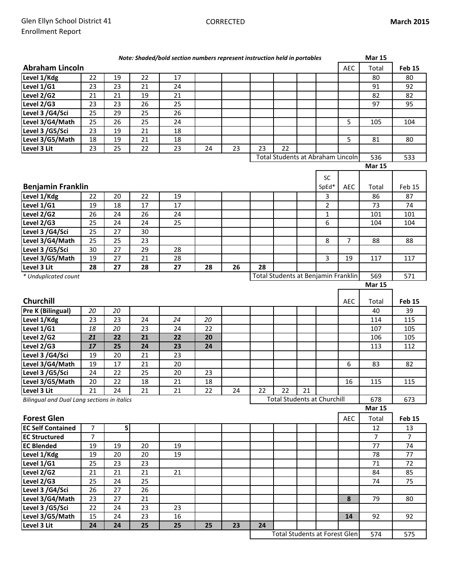|                                             |                |                 |                 | Note: Shaded/bold section numbers represent instruction held in portables |    |    |    |                                      |    |                |                | <b>Mar 15</b>   |                 |
|---------------------------------------------|----------------|-----------------|-----------------|---------------------------------------------------------------------------|----|----|----|--------------------------------------|----|----------------|----------------|-----------------|-----------------|
| <b>Abraham Lincoln</b>                      |                |                 |                 |                                                                           |    |    |    |                                      |    |                | <b>AEC</b>     | Total           | <b>Feb 15</b>   |
| Level 1/Kdg                                 | 22             | 19              | 22              | 17                                                                        |    |    |    |                                      |    |                |                | 80              | 80              |
| Level 1/G1                                  | 23             | 23              | 21              | 24                                                                        |    |    |    |                                      |    |                |                | 91              | 92              |
| Level 2/G2                                  | 21             | 21              | 19              | 21                                                                        |    |    |    |                                      |    |                |                | 82              | 82              |
| Level 2/G3                                  | 23             | 23              | 26              | 25                                                                        |    |    |    |                                      |    |                |                | 97              | 95              |
| Level 3 /G4/Sci                             | 25             | 29              | 25              | 26                                                                        |    |    |    |                                      |    |                |                |                 |                 |
| Level 3/G4/Math                             | 25             | 26              | 25              | 24                                                                        |    |    |    |                                      |    |                | 5              | 105             | 104             |
| Level 3 / G5/Sci                            | 23             | 19              | 21              | 18                                                                        |    |    |    |                                      |    |                |                |                 |                 |
| Level 3/G5/Math                             | 18             | 19              | 21              | 18                                                                        |    |    |    |                                      |    |                | 5              | 81              | 80              |
| Level 3 Lit                                 | 23             | 25              | 22              | 23                                                                        | 24 | 23 | 23 | 22                                   |    |                |                |                 |                 |
|                                             |                |                 |                 |                                                                           |    |    |    | Total Students at Abraham Lincoln    |    |                |                | 536             | 533             |
|                                             |                |                 |                 |                                                                           |    |    |    |                                      |    |                |                | <b>Mar 15</b>   |                 |
|                                             |                |                 |                 |                                                                           |    |    |    |                                      |    | SC             |                |                 |                 |
| <b>Benjamin Franklin</b>                    |                |                 |                 |                                                                           |    |    |    |                                      |    | SpEd*          | AEC            | Total           | Feb 15          |
| Level 1/Kdg                                 | 22             | 20              | 22              | 19                                                                        |    |    |    |                                      |    | 3              |                | 86              | 87              |
| Level 1/G1                                  | 19             | 18              | 17              | 17                                                                        |    |    |    |                                      |    | $\overline{2}$ |                | 73              | 74              |
| Level 2/G2                                  | 26             | 24              | 26              | 24                                                                        |    |    |    |                                      |    | $\mathbf{1}$   |                | 101             | 101             |
| Level 2/G3                                  | 25             | 24              | 24              | 25                                                                        |    |    |    |                                      |    | 6              |                | 104             | 104             |
| Level 3 /G4/Sci                             | 25             | 27              | 30              |                                                                           |    |    |    |                                      |    |                |                |                 |                 |
| Level 3/G4/Math                             | 25             | 25              | 23              |                                                                           |    |    |    |                                      |    | 8              | $\overline{7}$ | 88              | 88              |
| Level 3 /G5/Sci                             | 30             | 27              | 29              | 28                                                                        |    |    |    |                                      |    |                |                |                 |                 |
| Level 3/G5/Math                             | 19             | 27              | 21              | 28                                                                        |    |    |    |                                      |    | 3              | 19             | 117             | 117             |
| Level 3 Lit                                 | 28             | 27              | 28              | 27                                                                        | 28 | 26 | 28 |                                      |    |                |                |                 |                 |
| * Unduplicated count                        |                |                 |                 |                                                                           |    |    |    | Total Students at Benjamin Franklin  |    |                |                | 569             | 571             |
|                                             |                |                 |                 |                                                                           |    |    |    |                                      |    |                |                | <b>Mar 15</b>   |                 |
|                                             |                |                 |                 |                                                                           |    |    |    |                                      |    |                |                |                 |                 |
| <b>Churchill</b>                            |                |                 |                 |                                                                           |    |    |    |                                      |    |                | <b>AEC</b>     | Total           | <b>Feb 15</b>   |
| Pre K (Bilingual)                           | 20             | 20              |                 |                                                                           |    |    |    |                                      |    |                |                | 40              | 39              |
| Level 1/Kdg                                 | 23             | 23              | 24              | 24                                                                        | 20 |    |    |                                      |    |                |                | 114             | 115             |
| Level 1/G1                                  | 18             |                 |                 |                                                                           | 22 |    |    |                                      |    |                |                |                 |                 |
|                                             |                | 20              | 23              | 24                                                                        |    |    |    |                                      |    |                |                | 107             | 105             |
| Level 2/G2                                  | 21             | 22              | 21              | 22                                                                        | 20 |    |    |                                      |    |                |                | 106             | 105             |
| Level 2/G3                                  | 17             | 25              | 24              | 23                                                                        | 24 |    |    |                                      |    |                |                | 113             | 112             |
| Level 3 /G4/Sci                             | 19             | 20              | 21              | 23                                                                        |    |    |    |                                      |    |                |                |                 |                 |
| Level 3/G4/Math                             | 19             | 17              | 21              | 20                                                                        |    |    |    |                                      |    |                | 6              | 83              | 82              |
| Level 3 / G5/Sci                            | 24             | 22              | 25              | 20                                                                        | 23 |    |    |                                      |    |                |                |                 |                 |
| Level 3/G5/Math                             | 20             | 22              | 18              | 21                                                                        | 18 |    |    |                                      |    |                | 16             | 115             | 115             |
| Level 3 Lit                                 | 21             | 24              | 21              | 21                                                                        | 22 | 24 | 22 | 22                                   | 21 |                |                |                 |                 |
| Bilingual and Dual Lang sections in italics |                |                 |                 |                                                                           |    |    |    | <b>Total Students at Churchill</b>   |    |                |                | 678             | 673             |
|                                             |                |                 |                 |                                                                           |    |    |    |                                      |    |                |                | <b>Mar 15</b>   |                 |
| <b>Forest Glen</b>                          |                |                 |                 |                                                                           |    |    |    |                                      |    |                | AEC            | Total           | Feb 15          |
| <b>EC Self Contained</b>                    | 7              | 5 <sup>1</sup>  |                 |                                                                           |    |    |    |                                      |    |                |                | 12              | 13              |
| <b>EC Structured</b>                        | $\overline{7}$ |                 |                 |                                                                           |    |    |    |                                      |    |                |                | $\overline{7}$  | $\overline{7}$  |
| <b>EC Blended</b>                           | 19             | 19              | 20              | 19                                                                        |    |    |    |                                      |    |                |                | $\overline{77}$ | $\overline{74}$ |
| Level 1/Kdg                                 | 19             | 20              | 20              | 19                                                                        |    |    |    |                                      |    |                |                | 78              | $\overline{77}$ |
| Level 1/G1                                  | 25             | 23              | 23              |                                                                           |    |    |    |                                      |    |                |                | 71              | 72              |
| Level 2/G2                                  | 21             | $\overline{21}$ | 21              | 21                                                                        |    |    |    |                                      |    |                |                | 84              | 85              |
| Level $2/\overline{G3}$                     | 25             | 24              | $\overline{25}$ |                                                                           |    |    |    |                                      |    |                |                | 74              | 75              |
| Level 3 /G4/Sci                             | 26             | 27              | 26              |                                                                           |    |    |    |                                      |    |                |                |                 |                 |
| Level 3/G4/Math                             | 23             | 27              | 21              |                                                                           |    |    |    |                                      |    |                | 8              | 79              | 80              |
| Level 3 /G5/Sci                             | 22             | 24              | 23              | 23                                                                        |    |    |    |                                      |    |                |                |                 |                 |
| Level 3/G5/Math                             | 15             | 24              | 23              | 16                                                                        |    |    |    |                                      |    |                | 14             | 92              | 92              |
| Level 3 Lit                                 | 24             | 24              | 25              | 25                                                                        | 25 | 23 | 24 | <b>Total Students at Forest Glen</b> |    |                |                | 574             | 575             |